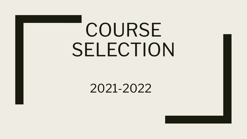# COURSE SELECTION

2021-2022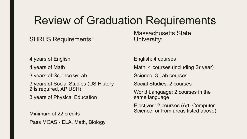### Review of Graduation Requirements

SHRHS Requirements:

4 years of English

4 years of Math

3 years of Science w/Lab

3 years of Social Studies (US History 2 is required, AP USH)

3 years of Physical Education

Minimum of 22 credits Pass MCAS - ELA, Math, Biology Massachusetts State University:

English: 4 courses

Math: 4 courses (including Sr year)

Science: 3 Lab courses

Social Studies: 2 courses

World Language: 2 courses in the same language

Electives: 2 courses (Art, Computer Science, or from areas listed above)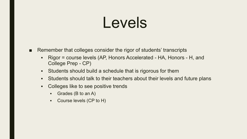## Levels

- Remember that colleges consider the rigor of students' transcripts
	- Rigor = course levels (AP, Honors Accelerated HA, Honors H, and College Prep - CP)
	- **EXE** Students should build a schedule that is rigorous for them
	- **EXTERN Students should talk to their teachers about their levels and future plans**
	- Colleges like to see positive trends
		- Grades (B to an A)
		- Course levels (CP to H)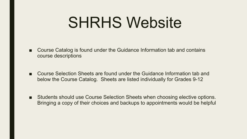## SHRHS Website

- Course Catalog is found under the Guidance Information tab and contains course descriptions
- Course Selection Sheets are found under the Guidance Information tab and below the Course Catalog. Sheets are listed individually for Grades 9-12
- Students should use Course Selection Sheets when choosing elective options. Bringing a copy of their choices and backups to appointments would be helpful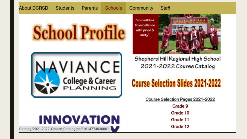#### **Students** Parents

**About DCRSD** 

**Schools** Community

#### Staff







"committed to excellence with pride & unity"



Shepherd Hill Regional High School 2021-2022 Course Catalog

### **Course Selection Slides 2021-2022**

Course Selection Pages 2021-2022

Grade 9 Grade 10 Grade 11 Grade 12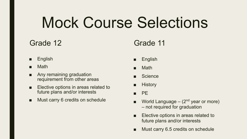# Mock Course Selections

### Grade 12

- **English**
- **Math**
- Any remaining graduation requirement from other areas
- Elective options in areas related to future plans and/or interests
- Must carry 6 credits on schedule

#### Grade 11

- English
- Math
- **Science**
- **History**
- PE
- World Language  $-$  (2<sup>nd</sup> year or more) – not required for graduation
- Elective options in areas related to future plans and/or interests
- Must carry 6.5 credits on schedule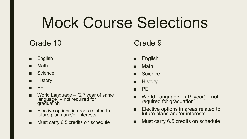# Mock Course Selections

### Grade 10

- English
- Math
- Science
- History
- PE
- $\blacksquare$  World Language (2<sup>nd</sup> year of same language) – not required for graduation
- Elective options in areas related to future plans and/or interests
- Must carry 6.5 credits on schedule

### Grade 9

- **English**
- **Math**
- **Science**
- **History**
- PE
- World Language  $(1<sup>st</sup>$  year) not required for graduation<sup>®</sup>
- Elective options in areas related to future plans and/or interests
- Must carry 6.5 credits on schedule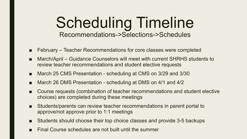### Scheduling Timeline Recommendations->Selections->Schedules

- February Teacher Recommendations for core classes were completed
- March/April Guidance Counselors will meet with current SHRHS students to review teacher recommendations and student elective requests
- March 25 CMS Presentation scheduling at CMS on 3/29 and 3/30
- March 26 DMS Presentation scheduling at DMS on 4/1 and 4/2
- Course requests (combination of teacher recommendations and student elective choices) are completed during these meetings
- Students/parents can review teacher recommendations in parent portal to approve/not approve prior to 1:1 meetings
- Students should choose their top choice classes and provide 3-5 backups
- Final Course schedules are not built until the summer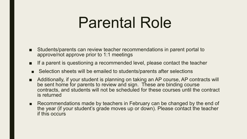## Parental Role

- Students/parents can review teacher recommendations in parent portal to approve/not approve prior to 1:1 meetings
- If a parent is questioning a recommended level, please contact the teacher
- Selection sheets will be emailed to students/parents after selections
- Additionally, if your student is planning on taking an AP course, AP contracts will be sent home for parents to review and sign. These are binding course contracts, and students will not be scheduled for these courses until the contract is returned
- Recommendations made by teachers in February can be changed by the end of the year (if your student's grade moves up or down). Please contact the teacher if this occurs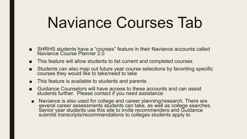## Naviance Courses Tab

- SHRHS students have a "courses" feature in their Naviance accounts called Naviance Course Planner 2.0
- This feature will allow students to list current and completed courses
- Students can also map out future year course selections by favoriting specific courses they would like to take/need to take
- This feature is available to students and parents
- Guidance Counselors will have access to these accounts and can assist students further. Please contact if you need assistance
- Naviance is also used for college and career planning/research. There are several career assessments students can take, as well as college searches. Senior year students use this site to invite recommenders and Guidance submits transcripts/recommendations to colleges students apply to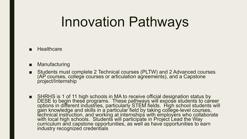## Innovation Pathways

#### ■ Healthcare

- Manufacturing
- Students must complete 2 Technical courses (PLTW) and 2 Advanced courses (AP courses, college courses or articulation agreements), and a Capstone project/Internship
- SHRHS is 1 of 11 high schools in MA to receive official designation status by DESE to begin these programs. These pathways will expose students to career options in different industries, particularly STEM fields. High school students will gain knowledge and skills in a particular field by taking college-level courses, technical instruction, and working at internships with employers who collaborate with local high schools. Students will participate in Project Lead the Way curriculum and capstone opportunities, as well as have opportunities to earn industry recognized credentials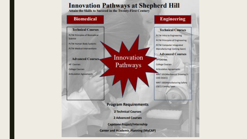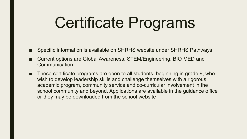# Certificate Programs

- Specific information is available on SHRHS website under SHRHS Pathways
- Current options are Global Awareness, STEM/Engineering, BIO MED and **Communication**
- These certificate programs are open to all students, beginning in grade 9, who wish to develop leadership skills and challenge themselves with a rigorous academic program, community service and co-curricular involvement in the school community and beyond. Applications are available in the guidance office or they may be downloaded from the school website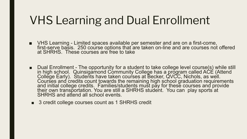### VHS Learning and Dual Enrollment

- VHS Learning Limited spaces available per semester and are on a first-come, first-serve basis. 250 course options that are taken on-line and are courses not offered at SHRHS. These courses are free to take
- Dual Enrollment The opportunity for a student to take college level course(s) while still in high school. Quinsigamond Community College has a program called ACE (Attend College Early). Students have taken courses at Becker, QVCC, Nichols, as well. Courses and credits count towards the remaining high school graduation requirements and initial college credits. Families/students must pay for these courses and provide their own transportation. You are still a SHRHS student. You can play sports at SHRHS and attend all school events.
- 3 credit college courses count as 1 SHRHS credit